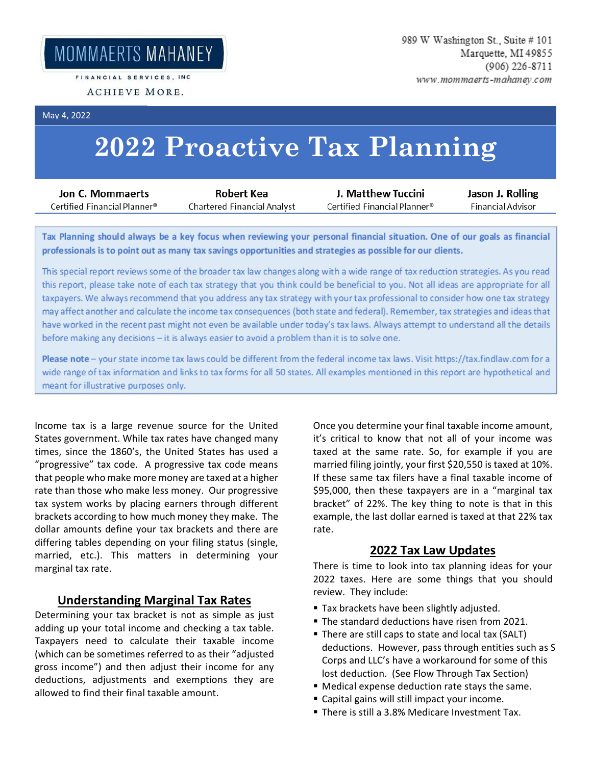MOMMAERTS MAHANEY

FINANCIAL SERVICES, INC.

May 4, 2022

# **2022 Proactive Tax Planning**

| Jon C. Mommaerts             | Robert Kea                  | J. Matthew Tuccini            | Jason J. Rolling  |
|------------------------------|-----------------------------|-------------------------------|-------------------|
| Certified Financial Planner® | Chartered Financial Analyst | € Certified Financial Planner | Financial Advisor |
|                              |                             |                               |                   |

Tax Planning should always be a key focus when reviewing your personal financial situation. One of our goals as financial professionals is to point out as many tax savings opportunities and strategies as possible for our clients.

This special report reviews some of the broader tax law changes along with a wide range of tax reduction strategies. As you read this report, please take note of each tax strategy that you think could be beneficial to you. Not all ideas are appropriate for all taxpayers. We always recommend that you address any tax strategy with your tax professional to consider how one tax strategy may affect another and calculate the income tax consequences (both state and federal). Remember, tax strategies and ideas that have worked in the recent past might not even be available under today's tax laws. Always attempt to understand all the details before making any decisions - it is always easier to avoid a problem than it is to solve one.

Please note - your state income tax laws could be different from the federal income tax laws. Visit https://tax.findlaw.com for a wide range of tax information and links to tax forms for all 50 states. All examples mentioned in this report are hypothetical and meant for illustrative purposes only.

Income tax is a large revenue source for the United States government. While tax rates have changed many times, since the 1860's, the United States has used a "progressive" tax code. A progressive tax code means that people who make more money are taxed at a higher rate than those who make less money. Our progressive tax system works by placing earners through different brackets according to how much money they make. The dollar amounts define your tax brackets and there are differing tables depending on your filing status (single, married, etc.). This matters in determining your marginal tax rate.

#### **Understanding Marginal Tax Rates**

Determining your tax bracket is not as simple as just adding up your total income and checking a tax table. Taxpayers need to calculate their taxable income (which can be sometimes referred to as their "adjusted gross income") and then adjust their income for any deductions, adjustments and exemptions they are allowed to find their final taxable amount.

Once you determine your final taxable income amount, it's critical to know that not all of your income was taxed at the same rate. So, for example if you are married filing jointly, your first \$20,550 is taxed at 10%. If these same tax filers have a final taxable income of \$95,000, then these taxpayers are in a "marginal tax bracket" of 22%. The key thing to note is that in this example, the last dollar earned is taxed at that 22% tax rate.

# **2022 Tax Law Updates**

There is time to look into tax planning ideas for your 2022 taxes. Here are some things that you should review. They include:

- **Tax brackets have been slightly adjusted.**
- The standard deductions have risen from 2021.
- There are still caps to state and local tax (SALT) deductions. However, pass through entities such as S Corps and LLC's have a workaround for some of this lost deduction. (See Flow Through Tax Section)
- Medical expense deduction rate stays the same.
- Capital gains will still impact your income.
- There is still a 3.8% Medicare Investment Tax.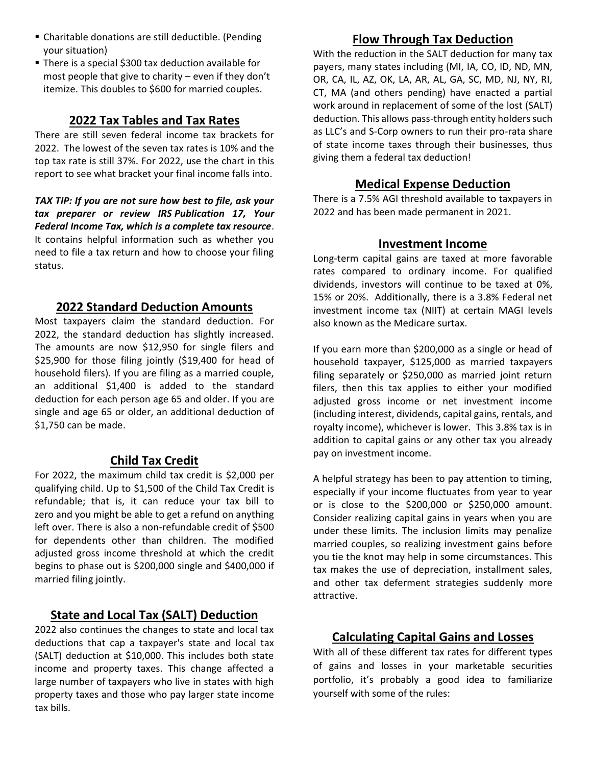- Charitable donations are still deductible. (Pending your situation)
- There is a special \$300 tax deduction available for most people that give to charity – even if they don't itemize. This doubles to \$600 for married couples.

# **2022 Tax Tables and Tax Rates**

There are still seven federal income tax brackets for 2022. The lowest of the seven tax rates is 10% and the top tax rate is still 37%. For 2022, use the chart in this report to see what bracket your final income falls into.

*TAX TIP: If you are not sure how best to file, ask your tax preparer or review IRS [Publication 17,](https://www.irs.gov/uac/About-Publication-17) Your Federal Income Tax, which is a complete tax resource*. It contains helpful information such as whether you need to file a tax return and how to choose your filing status.

# **2022 Standard Deduction Amounts**

Most taxpayers claim the standard deduction. For 2022, the standard deduction has slightly increased. The amounts are now \$12,950 for single filers and \$25,900 for those filing jointly (\$19,400 for head of household filers). If you are filing as a married couple, an additional \$1,400 is added to the standard deduction for each person [age 65 and older.](https://money.usnews.com/money/retirement/social-security/articles/the-social-security-retirement-age-increases-to-66-5-in-2019) If you are single and age 65 or older, an additional deduction of \$1,750 can be made.

# **Child Tax Credit**

For 2022, the maximum child tax credit is \$2,000 per qualifying child. Up to \$1,500 of the Child Tax Credit is refundable; that is, it can reduce your tax bill to zero and you might be able to get a refund on anything left over. There is also a non-refundable credit of \$500 for dependents other than children. The modified adjusted gross income threshold at which the credit begins to phase out is \$200,000 single and \$400,000 if married filing jointly.

# **State and Local Tax (SALT) Deduction**

2022 also continues the changes to state and local tax deductions that cap a taxpayer's state and local tax (SALT) deduction at \$10,000. This includes both state income and property taxes. This change affected a large number of taxpayers who live in states with high property taxes and those who pay larger state income tax bills.

# **Flow Through Tax Deduction**

With the reduction in the SALT deduction for many tax payers, many states including (MI, IA, CO, ID, ND, MN, OR, CA, IL, AZ, OK, LA, AR, AL, GA, SC, MD, NJ, NY, RI, CT, MA (and others pending) have enacted a partial work around in replacement of some of the lost (SALT) deduction. This allows pass-through entity holders such as LLC's and S-Corp owners to run their pro-rata share of state income taxes through their businesses, thus giving them a federal tax deduction!

# **Medical Expense Deduction**

There is a 7.5% AGI threshold available to taxpayers in 2022 and has been made permanent in 2021.

#### **Investment Income**

Long-term capital gains are taxed at more favorable rates compared to ordinary income. For qualified dividends, investors will continue to be taxed at 0%, 15% or 20%. Additionally, there is a 3.8% Federal net investment income tax (NIIT) at certain MAGI levels also known as the Medicare surtax.

If you earn more than \$200,000 as a single or head of household taxpayer, \$125,000 as married taxpayers filing separately or \$250,000 as married joint return filers, then this tax applies to either your modified adjusted gross income or net investment income (including interest, dividends, capital gains, rentals, and royalty income), whichever is lower. This 3.8% tax is in addition to capital gains or any other tax you already pay on investment income.

A helpful strategy has been to pay attention to timing, especially if your income fluctuates from year to year or is close to the \$200,000 or \$250,000 amount. Consider realizing capital gains in years when you are under these limits. The inclusion limits may penalize married couples, so realizing investment gains before you tie the knot may help in some circumstances. This tax makes the use of depreciation, installment sales, and other tax deferment strategies suddenly more attractive.

# **Calculating Capital Gains and Losses**

With all of these different tax rates for different types of gains and losses in your marketable securities portfolio, it's probably a good idea to familiarize yourself with some of the rules: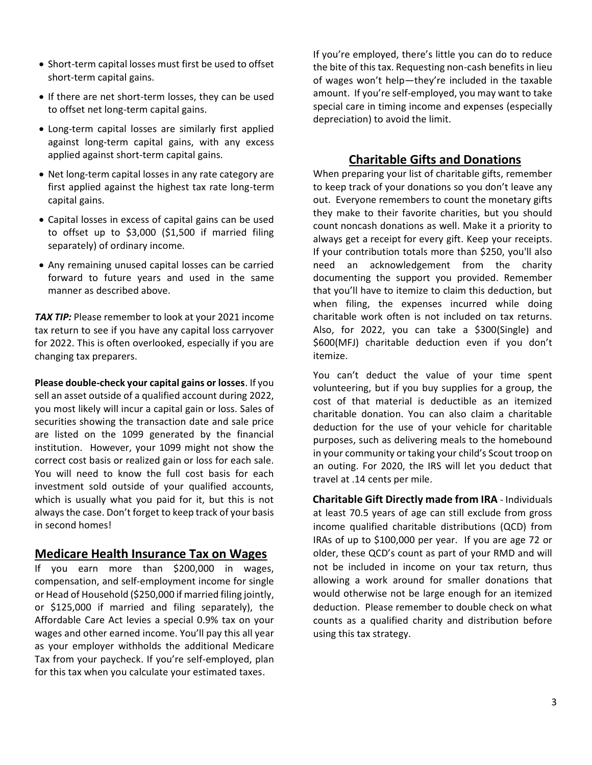- Short-term capital losses must first be used to offset short-term capital gains.
- If there are net short-term losses, they can be used to offset net long-term capital gains.
- Long-term capital losses are similarly first applied against long-term capital gains, with any excess applied against short-term capital gains.
- Net long-term capital losses in any rate category are first applied against the highest tax rate long-term capital gains.
- Capital losses in excess of capital gains can be used to offset up to \$3,000 (\$1,500 if married filing separately) of ordinary income.
- Any remaining unused capital losses can be carried forward to future years and used in the same manner as described above.

*TAX TIP:* Please remember to look at your 2021 income tax return to see if you have any capital loss carryover for 2022. This is often overlooked, especially if you are changing tax preparers.

**Please double-check your capital gains or losses**. If you sell an asset outside of a qualified account during 2022, you most likely will incur a capital gain or loss. Sales of securities showing the transaction date and sale price are listed on the 1099 generated by the financial institution. However, your 1099 might not show the correct cost basis or realized gain or loss for each sale. You will need to know the full cost basis for each investment sold outside of your qualified accounts, which is usually what you paid for it, but this is not always the case. Don't forget to keep track of your basis in second homes!

# **Medicare Health Insurance Tax on Wages**

If you earn more than \$200,000 in wages, compensation, and self-employment income for single or Head of Household (\$250,000 if married filing jointly, or \$125,000 if married and filing separately), the Affordable Care Act levies a special 0.9% tax on your wages and other earned income. You'll pay this all year as your employer withholds the additional Medicare Tax from your paycheck. If you're self-employed, plan for this tax when you calculate your estimated taxes.

If you're employed, there's little you can do to reduce the bite of this tax. Requesting non-cash benefits in lieu of wages won't help—they're included in the taxable amount. If you're self-employed, you may want to take special care in timing income and expenses (especially depreciation) to avoid the limit.

# **Charitable Gifts and Donations**

When preparing your list of charitable gifts, remember to keep track of your donations so you don't leave any out. Everyone remembers to count the monetary gifts they make to their favorite charities, but you should count [noncash donations](http://dontmesswithtaxes.typepad.com/dont_mess_with_taxes/2012/09/religious-groups-lead-the-charitable-donation-category.html) as well. Make it a priority to always get a [receipt](http://dontmesswithtaxes.typepad.com/dont_mess_with_taxes/2010/06/deductions-demand-documentation.html) for every gift. Keep your receipts. If your contribution totals more than \$250, you'll also need an acknowledgement from the charity documenting the support you provided. Remember that you'll have to itemize to claim this deduction, but when filing, the expenses incurred while doing charitable work often is not included on tax returns. Also, for 2022, you can take a \$300(Single) and \$600(MFJ) charitable deduction even if you don't itemize.

You can't deduct the value of your time spent volunteering, but if you buy supplies for a group, the cost of that material is deductible as an itemized charitable donation. You can also claim a charitable deduction for the use of your vehicle for charitable purposes, such as delivering meals to the homebound in your community or taking your child's Scout troop on an outing. For 2020, the IRS will let you deduct that travel at .14 cents per mile.

**Charitable Gift Directly made from IRA** - Individuals at least 70.5 years of age can still exclude from gross income qualified charitable distributions (QCD) from IRAs of up to \$100,000 per year. If you are age 72 or older, these QCD's count as part of your RMD and will not be included in income on your tax return, thus allowing a work around for smaller donations that would otherwise not be large enough for an itemized deduction. Please remember to double check on what counts as a qualified charity and distribution before using this tax strategy.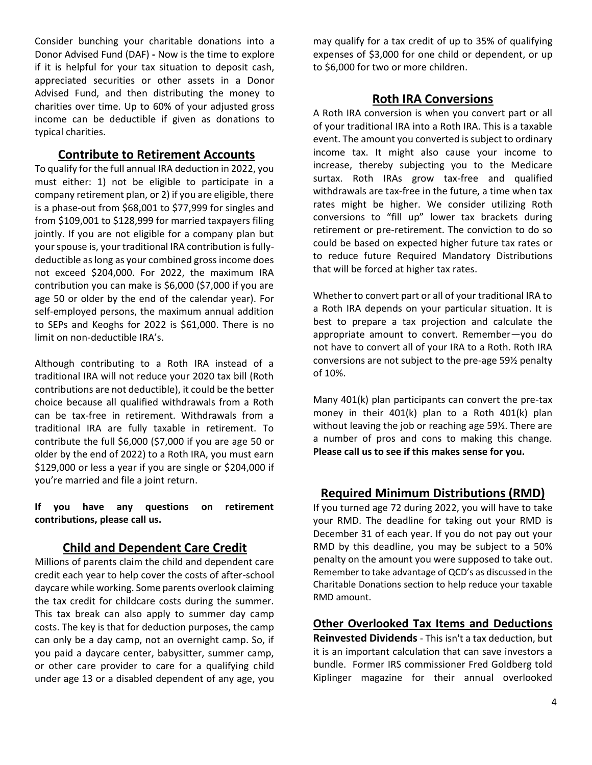Consider bunching your charitable donations into a Donor Advised Fund (DAF) **-** Now is the time to explore if it is helpful for your tax situation to deposit cash, appreciated securities or other assets in a Donor Advised Fund, and then distributing the money to charities over time. Up to 60% of your adjusted gross income can be deductible if given as donations to typical charities.

#### **Contribute to Retirement Accounts**

To qualify for the full annual IRA deduction in 2022, you must either: 1) not be eligible to participate in a company retirement plan, or 2) if you are eligible, there is a phase-out from \$68,001 to \$77,999 for singles and from \$109,001 to \$128,999 for married taxpayers filing jointly. If you are not eligible for a company plan but your spouse is, your traditional IRA contribution is fullydeductible as long as your combined gross income does not exceed \$204,000. For 2022, the maximum IRA contribution you can make is \$6,000 (\$7,000 if you are age 50 or older by the end of the calendar year). For self-employed persons, the maximum annual addition to SEPs and Keoghs for 2022 is \$61,000. There is no limit on non-deductible IRA's.

Although contributing to a Roth IRA instead of a traditional IRA will not reduce your 2020 tax bill (Roth contributions are not deductible), it could be the better choice because all qualified withdrawals from a Roth can be tax-free in retirement. Withdrawals from a traditional IRA are fully taxable in retirement. To contribute the full \$6,000 (\$7,000 if you are age 50 or older by the end of 2022) to a Roth IRA, you must earn \$129,000 or less a year if you are single or \$204,000 if you're married and file a joint return.

#### **If you have any questions on retirement contributions, please call us.**

# **Child and Dependent Care Credit**

Millions of parents claim the child and dependent care credit each year to help cover the costs of after-school daycare while working. Some parents overlook claiming the tax credit for childcare costs during the summer. This tax break can also apply to summer day camp costs. The key is that for deduction purposes, the camp can only be a day camp, not an overnight camp. So, if you paid a daycare center, babysitter, summer camp, or other care provider to care for a qualifying child under age 13 or a disabled dependent of any age, you may qualify for a tax credit of up to 35% of qualifying expenses of \$3,000 for one child or dependent, or up to \$6,000 for two or more children.

# **Roth IRA Conversions**

A Roth IRA conversion is when you convert part or all of your traditional IRA into a Roth IRA. This is a taxable event. The amount you converted is subject to ordinary income tax. It might also cause your income to increase, thereby subjecting you to the Medicare surtax. Roth IRAs grow tax-free and qualified withdrawals are tax-free in the future, a time when tax rates might be higher. We consider utilizing Roth conversions to "fill up" lower tax brackets during retirement or pre-retirement. The conviction to do so could be based on expected higher future tax rates or to reduce future Required Mandatory Distributions that will be forced at higher tax rates.

Whether to convert part or all of your traditional IRA to a Roth IRA depends on your particular situation. It is best to prepare a tax projection and calculate the appropriate amount to convert. Remember—you do not have to convert all of your IRA to a Roth. Roth IRA conversions are not subject to the pre-age 59½ penalty of 10%.

Many 401(k) plan participants can convert the pre-tax money in their 401(k) plan to a Roth 401(k) plan without leaving the job or reaching age 59½. There are a number of pros and cons to making this change. **Please call us to see if this makes sense for you.**

# **Required Minimum Distributions (RMD)**

If you turned age 72 during 2022, you will have to take your RMD. The deadline for taking out your RMD is December 31 of each year. If you do not pay out your RMD by this deadline, you may be subject to a 50% penalty on the amount you were supposed to take out. Remember to take advantage of QCD's as discussed in the Charitable Donations section to help reduce your taxable RMD amount.

**Other Overlooked Tax Items and Deductions Reinvested Dividends** - This isn't a tax deduction, but it is an important calculation that can save investors a bundle. Former IRS commissioner Fred Goldberg told Kiplinger magazine for their annual overlooked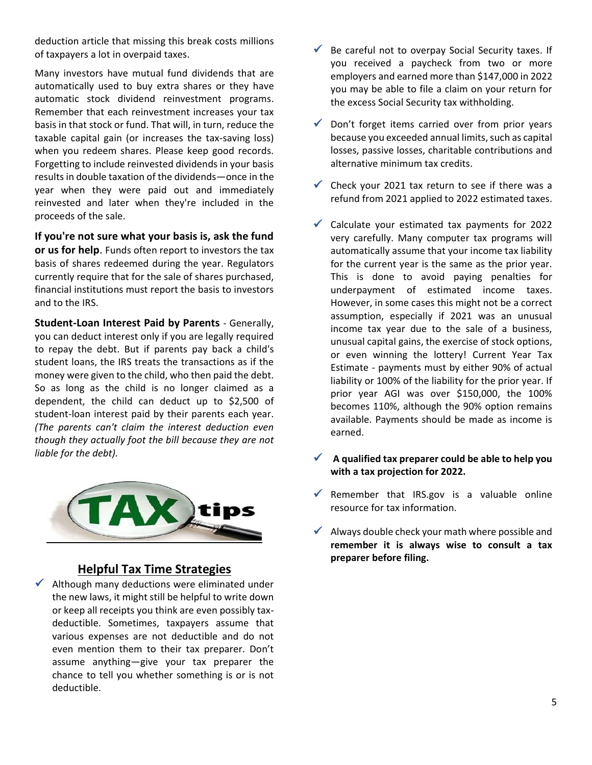deduction article that missing this break costs millions of taxpayers a lot in overpaid taxes.

Many investors have mutual fund dividends that are automatically used to buy extra shares or they have automatic stock dividend reinvestment programs. Remember that each reinvestment increases your tax basis in that stock or fund. That will, in turn, reduce the taxable capital gain (or increases the tax-saving loss) when you redeem shares. Please keep good records. Forgetting to include reinvested dividends in your basis results in double taxation of the dividends—once in the year when they were paid out and immediately reinvested and later when they're included in the proceeds of the sale.

**If you're not sure what your basis is, ask the fund or us for help**. Funds often report to investors the tax basis of shares redeemed during the year. Regulators currently require that for the sale of shares purchased, financial institutions must report the basis to investors and to the IRS.

**Student-Loan Interest Paid by Parents** - Generally, you can deduct interest only if you are legally required to repay the debt. But if parents pay back a child's student loans, the IRS treats the transactions as if the money were given to the child, who then paid the debt. So as long as the child is no longer claimed as a dependent, the child can deduct up to \$2,500 of student-loan interest paid by their parents each year. *(The parents can't claim the interest deduction even though they actually foot the bill because they are not liable for the debt).*



# **Helpful Tax Time Strategies**

 $\checkmark$  Although many deductions were eliminated under the new laws, it might still be helpful to write down or keep all receipts you think are even possibly taxdeductible. Sometimes, taxpayers assume that various expenses are not deductible and do not even mention them to their tax preparer. Don't assume anything—give your tax preparer the chance to tell you whether something is or is not deductible.

- $\checkmark$  Be careful not to overpay Social Security taxes. If you received a paycheck from two or more employers and earned more than \$147,000 in 2022 you may be able to file a claim on your return for the excess Social Security tax withholding.
- $\checkmark$  Don't forget items carried over from prior years because you exceeded annual limits, such as capital losses, passive losses, charitable contributions and alternative minimum tax credits.
- $\checkmark$  Check your 2021 tax return to see if there was a refund from 2021 applied to 2022 estimated taxes.
- $\checkmark$  Calculate your estimated tax payments for 2022 very carefully. Many computer tax programs will automatically assume that your income tax liability for the current year is the same as the prior year. This is done to avoid paying penalties for underpayment of estimated income taxes. However, in some cases this might not be a correct assumption, especially if 2021 was an unusual income tax year due to the sale of a business, unusual capital gains, the exercise of stock options, or even winning the lottery! Current Year Tax Estimate - payments must by either 90% of actual liability or 100% of the liability for the prior year. If prior year AGI was over \$150,000, the 100% becomes 110%, although the 90% option remains available. Payments should be made as income is earned.
- ✓ **A qualified tax preparer could be able to help you with a tax projection for 2022.**
- Remember that IRS.gov is a valuable online resource for tax information.
- $\checkmark$  Always double check your math where possible and **remember it is always wise to consult a tax preparer before filing.**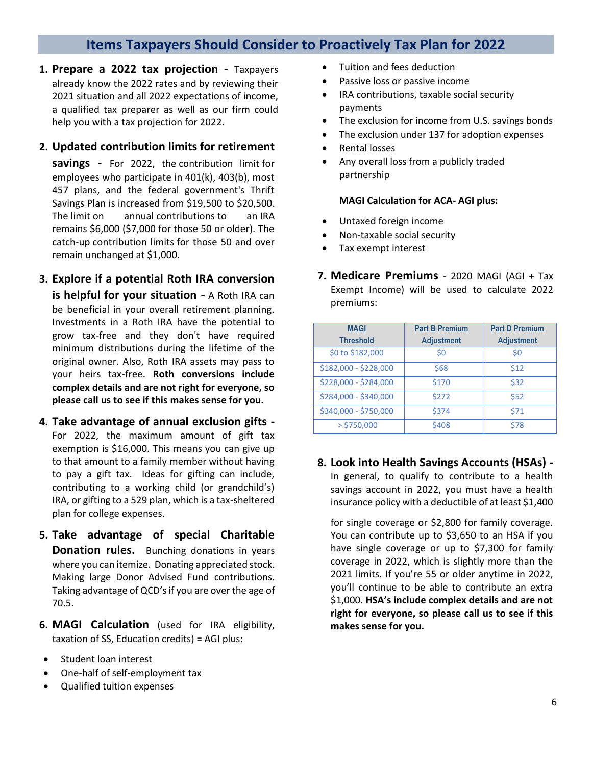# **Items Taxpayers Should Consider to Proactively Tax Plan for 2022**

**1. Prepare a 2022 tax projection** - Taxpayers already know the 2022 rates and by reviewing their 2021 situation and all 2022 expectations of income, a qualified tax preparer as well as our firm could help you with a tax projection for 2022.

#### **2. Updated contribution limits for retirement**

**savings -** For 2022, the contribution limit for employees who participate in 401(k), 403(b), most 457 plans, and the federal government's Thrift Savings Plan is increased from \$19,500 to \$20,500. The limit on annual contributions to an IRA remains \$6,000 (\$7,000 for those 50 or older). The catch-up contribution limits for those 50 and over remain unchanged at \$1,000.

#### **3. Explore if a potential Roth IRA conversion**

**is helpful for your situation -** A Roth IRA can be beneficial in your overall retirement planning. Investments in a Roth IRA have the potential to grow tax-free and they don't have required minimum distributions during the lifetime of the original owner. Also, Roth IRA assets may pass to your heirs tax-free. **Roth conversions include complex details and are not right for everyone, so please call us to see if this makes sense for you.**

- **4. Take advantage of annual exclusion gifts -** For 2022, the maximum amount of gift tax exemption is \$16,000. This means you can give up to that amount to a family member without having to pay a gift tax. Ideas for gifting can include, contributing to a working child (or grandchild's) IRA, or gifting to a 529 plan, which is a tax-sheltered plan for college expenses.
- **5. Take advantage of special Charitable Donation rules.** Bunching donations in years where you can itemize. Donating appreciated stock. Making large Donor Advised Fund contributions. Taking advantage of QCD's if you are over the age of 70.5.
- **6. MAGI Calculation** (used for IRA eligibility, taxation of SS, Education credits) = AGI plus:
- Student loan interest
- One-half of self-employment tax
- Qualified tuition expenses
- Tuition and fees deduction
- Passive loss or passive income
- IRA contributions, taxable social security payments
- The exclusion for income from U.S. savings bonds
- The exclusion under 137 for adoption expenses
- Rental losses
- Any overall loss from a publicly traded partnership

#### **MAGI Calculation for ACA- AGI plus:**

- Untaxed foreign income
- Non-taxable social security
- Tax exempt interest
- **7. Medicare Premiums** 2020 MAGI (AGI + Tax Exempt Income) will be used to calculate 2022 premiums:

| <b>MAGI</b>           | <b>Part B Premium</b> | <b>Part D Premium</b> |
|-----------------------|-----------------------|-----------------------|
| <b>Threshold</b>      | <b>Adjustment</b>     | <b>Adjustment</b>     |
| \$0 to \$182,000      | \$0                   | \$0                   |
| \$182,000 - \$228,000 | \$68                  | \$12                  |
| \$228,000 - \$284,000 | \$170                 | \$32                  |
| \$284,000 - \$340,000 | \$272                 | \$52                  |
| \$340,000 - \$750,000 | \$374                 | \$71                  |
| $>$ \$750,000         | \$408                 | \$78                  |

# **8. Look into Health Savings Accounts (HSAs) -** In general, to qualify to contribute to a health savings account in 2022, you must have a health

insurance policy with a deductible of at least \$1,400

for single coverage or \$2,800 for family coverage. You can contribute up to \$3,650 to an HSA if you have single coverage or up to \$7,300 for family coverage in 2022, which is slightly more than the 2021 limits. If you're 55 or older anytime in 2022, you'll continue to be able to contribute an extra \$1,000. **HSA's include complex details and are not right for everyone, so please call us to see if this makes sense for you.**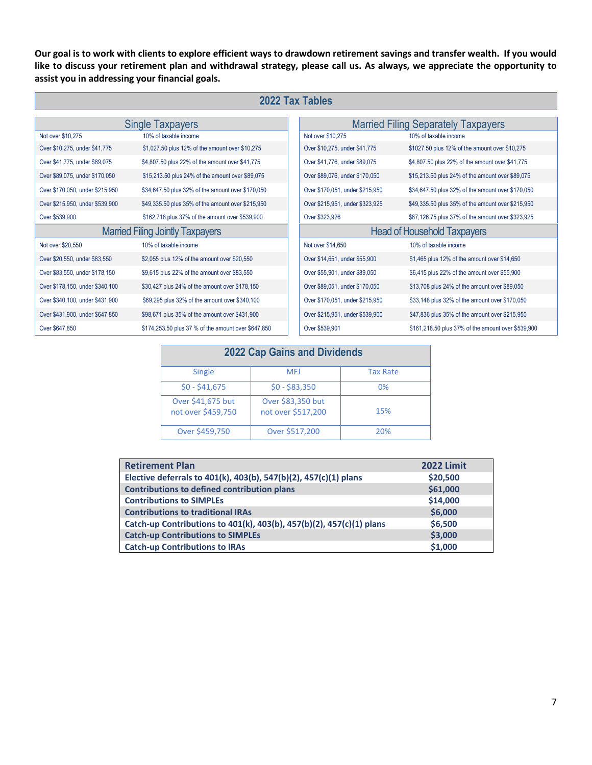**Our goal is to work with clients to explore efficient ways to drawdown retirement savings and transfer wealth. If you would like to discuss your retirement plan and withdrawal strategy, please call us. As always, we appreciate the opportunity to assist you in addressing your financial goals.**

| 2022 Tax Tables                         |                                                     |                                            |                                                    |
|-----------------------------------------|-----------------------------------------------------|--------------------------------------------|----------------------------------------------------|
| <b>Single Taxpayers</b>                 |                                                     | <b>Married Filing Separately Taxpayers</b> |                                                    |
| Not over \$10,275                       | 10% of taxable income                               | Not over \$10,275                          | 10% of taxable income                              |
| Over \$10,275, under \$41,775           | \$1,027.50 plus 12% of the amount over \$10,275     | Over \$10,275, under \$41,775              | \$1027.50 plus 12% of the amount over \$10,275     |
| Over \$41,775, under \$89,075           | \$4,807.50 plus 22% of the amount over \$41,775     | Over \$41,776, under \$89,075              | \$4,807.50 plus 22% of the amount over \$41,775    |
| Over \$89,075, under \$170,050          | \$15,213.50 plus 24% of the amount over \$89,075    | Over \$89,076, under \$170,050             | \$15,213.50 plus 24% of the amount over \$89,075   |
| Over \$170,050, under \$215,950         | \$34,647.50 plus 32% of the amount over \$170,050   | Over \$170,051, under \$215,950            | \$34,647.50 plus 32% of the amount over \$170,050  |
| Over \$215,950, under \$539,900         | \$49,335.50 plus 35% of the amount over \$215,950   | Over \$215,951, under \$323,925            | \$49,335.50 plus 35% of the amount over \$215,950  |
| Over \$539,900                          | \$162,718 plus 37% of the amount over \$539,900     | Over \$323,926                             | \$87,126.75 plus 37% of the amount over \$323,925  |
| <b>Married Filing Jointly Taxpayers</b> |                                                     |                                            | <b>Head of Household Taxpayers</b>                 |
| Not over \$20,550                       | 10% of taxable income                               | Not over \$14,650                          | 10% of taxable income                              |
| Over \$20,550, under \$83,550           | \$2,055 plus 12% of the amount over \$20,550        | Over \$14,651, under \$55,900              | \$1,465 plus 12% of the amount over \$14,650       |
| Over \$83,550, under \$178,150          | \$9,615 plus 22% of the amount over \$83,550        | Over \$55,901, under \$89,050              | \$6,415 plus 22% of the amount over \$55,900       |
| Over \$178,150, under \$340,100         | \$30,427 plus 24% of the amount over \$178,150      | Over \$89,051, under \$170,050             | \$13,708 plus 24% of the amount over \$89,050      |
| Over \$340,100, under \$431,900         | \$69,295 plus 32% of the amount over \$340,100      | Over \$170,051, under \$215,950            | \$33,148 plus 32% of the amount over \$170,050     |
| Over \$431,900, under \$647,850         | \$98,671 plus 35% of the amount over \$431,900      | Over \$215,951, under \$539,900            | \$47,836 plus 35% of the amount over \$215,950     |
| Over \$647,850                          | \$174,253.50 plus 37 % of the amount over \$647,850 | Over \$539,901                             | \$161,218.50 plus 37% of the amount over \$539,900 |

| <b>2022 Cap Gains and Dividends</b>     |                                         |                 |
|-----------------------------------------|-----------------------------------------|-----------------|
| <b>Single</b>                           | <b>MFJ</b>                              | <b>Tax Rate</b> |
| $$0 - $41,675$                          | $$0 - $83,350$                          | 0%              |
| Over \$41,675 but<br>not over \$459,750 | Over \$83,350 but<br>not over \$517,200 | 15%             |
| Over \$459,750                          | Over \$517,200                          | 20%             |

| <b>Retirement Plan</b>                                               | <b>2022 Limit</b> |
|----------------------------------------------------------------------|-------------------|
| Elective deferrals to 401(k), 403(b), 547(b)(2), 457(c)(1) plans     | \$20,500          |
| <b>Contributions to defined contribution plans</b>                   | \$61,000          |
| <b>Contributions to SIMPLEs</b>                                      | \$14,000          |
| <b>Contributions to traditional IRAs</b>                             | \$6,000           |
| Catch-up Contributions to 401(k), 403(b), 457(b)(2), 457(c)(1) plans | \$6,500           |
| <b>Catch-up Contributions to SIMPLEs</b>                             | \$3,000           |
| <b>Catch-up Contributions to IRAs</b>                                | \$1,000           |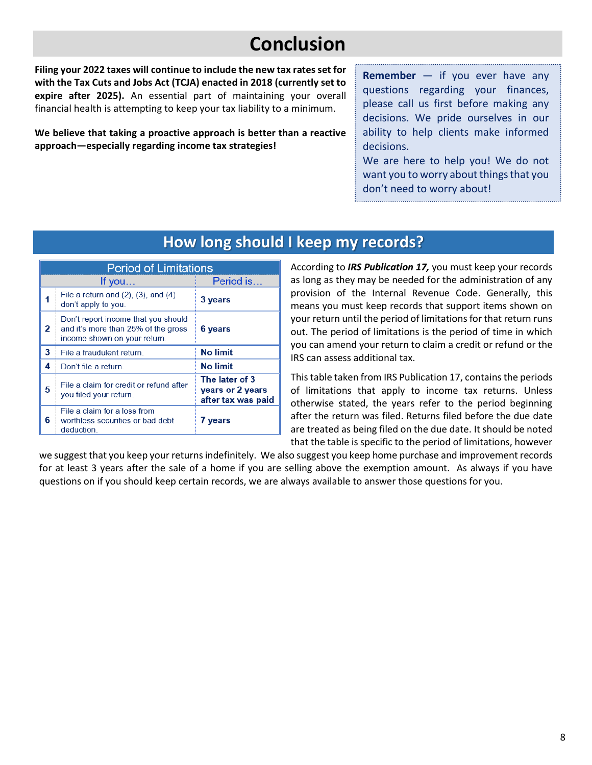# **Conclusion**

**Filing your 2022 taxes will continue to include the new tax rates set for with the Tax Cuts and Jobs Act (TCJA) enacted in 2018 (currently set to expire after 2025).** An essential part of maintaining your overall financial health is attempting to keep your tax liability to a minimum.

**We believe that taking a proactive approach is better than a reactive approach—especially regarding income tax strategies!** 

**Remember** — if you ever have any questions regarding your finances, please call us first before making any decisions. We pride ourselves in our ability to help clients make informed decisions.

We are here to help you! We do not want you to worry about things that you don't need to worry about!

# **How long should I keep my records?**

| <b>Period of Limitations</b> |                                                                                                            |                                                          |
|------------------------------|------------------------------------------------------------------------------------------------------------|----------------------------------------------------------|
|                              | If you                                                                                                     | Period is                                                |
|                              | File a return and $(2)$ , $(3)$ , and $(4)$<br>don't apply to you.                                         | 3 years                                                  |
| 2                            | Don't report income that you should<br>and it's more than 25% of the gross<br>income shown on your return. | 6 years                                                  |
| 3                            | File a fraudulent return.                                                                                  | <b>No limit</b>                                          |
| 4                            | Don't file a return.                                                                                       | <b>No limit</b>                                          |
| 5                            | File a claim for credit or refund after<br>you filed your return.                                          | The later of 3<br>years or 2 years<br>after tax was paid |
| 6                            | File a claim for a loss from<br>worthless securities or bad debt<br>deduction.                             | 7 years                                                  |

According to *IRS Publication 17,* you must keep your records as long as they may be needed for the administration of any provision of the Internal Revenue Code. Generally, this means you must keep records that support items shown on your return until the period of limitations for that return runs out. The period of limitations is the period of time in which you can amend your return to claim a credit or refund or the IRS can assess additional tax.

This table taken from IRS Publication 17, contains the periods of limitations that apply to income tax returns. Unless otherwise stated, the years refer to the period beginning after the return was filed. Returns filed before the due date are treated as being filed on the due date. It should be noted that the table is specific to the period of limitations, however

we suggest that you keep your returns indefinitely. We also suggest you keep home purchase and improvement records for at least 3 years after the sale of a home if you are selling above the exemption amount. As always if you have questions on if you should keep certain records, we are always available to answer those questions for you.